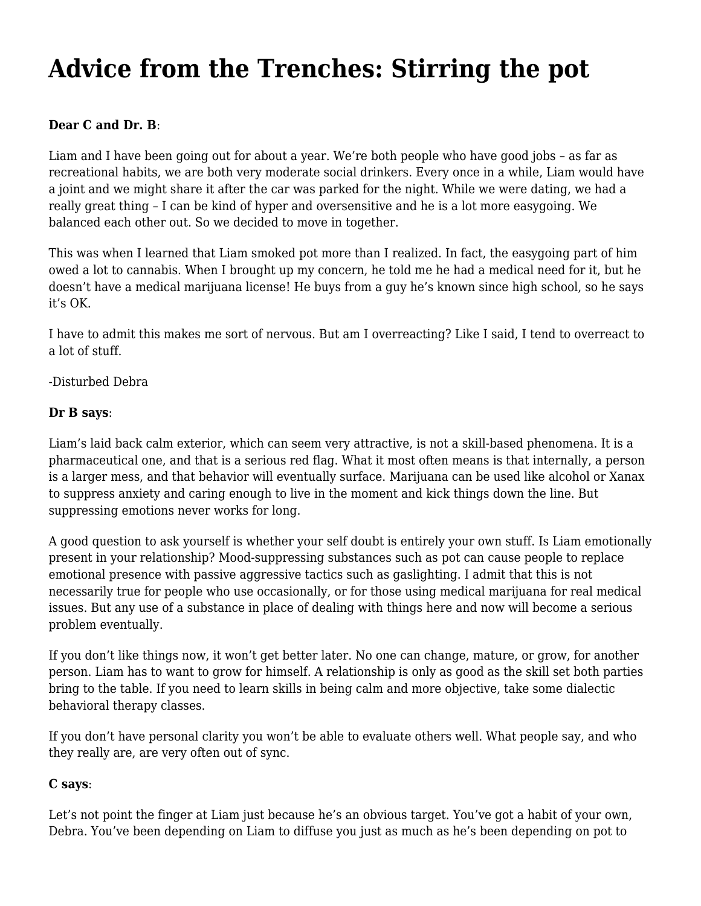## **[Advice from the Trenches: Stirring the pot](https://motifri.com/stirring-the-pot/)**

## **Dear C and Dr. B**:

Liam and I have been going out for about a year. We're both people who have good jobs – as far as recreational habits, we are both very moderate social drinkers. Every once in a while, Liam would have a joint and we might share it after the car was parked for the night. While we were dating, we had a really great thing – I can be kind of hyper and oversensitive and he is a lot more easygoing. We balanced each other out. So we decided to move in together.

This was when I learned that Liam smoked pot more than I realized. In fact, the easygoing part of him owed a lot to cannabis. When I brought up my concern, he told me he had a medical need for it, but he doesn't have a medical marijuana license! He buys from a guy he's known since high school, so he says it's OK.

I have to admit this makes me sort of nervous. But am I overreacting? Like I said, I tend to overreact to a lot of stuff.

-Disturbed Debra

## **Dr B says**:

Liam's laid back calm exterior, which can seem very attractive, is not a skill-based phenomena. It is a pharmaceutical one, and that is a serious red flag. What it most often means is that internally, a person is a larger mess, and that behavior will eventually surface. Marijuana can be used like alcohol or Xanax to suppress anxiety and caring enough to live in the moment and kick things down the line. But suppressing emotions never works for long.

A good question to ask yourself is whether your self doubt is entirely your own stuff. Is Liam emotionally present in your relationship? Mood-suppressing substances such as pot can cause people to replace emotional presence with passive aggressive tactics such as gaslighting. I admit that this is not necessarily true for people who use occasionally, or for those using medical marijuana for real medical issues. But any use of a substance in place of dealing with things here and now will become a serious problem eventually.

If you don't like things now, it won't get better later. No one can change, mature, or grow, for another person. Liam has to want to grow for himself. A relationship is only as good as the skill set both parties bring to the table. If you need to learn skills in being calm and more objective, take some dialectic behavioral therapy classes.

If you don't have personal clarity you won't be able to evaluate others well. What people say, and who they really are, are very often out of sync.

## **C says**:

Let's not point the finger at Liam just because he's an obvious target. You've got a habit of your own, Debra. You've been depending on Liam to diffuse you just as much as he's been depending on pot to